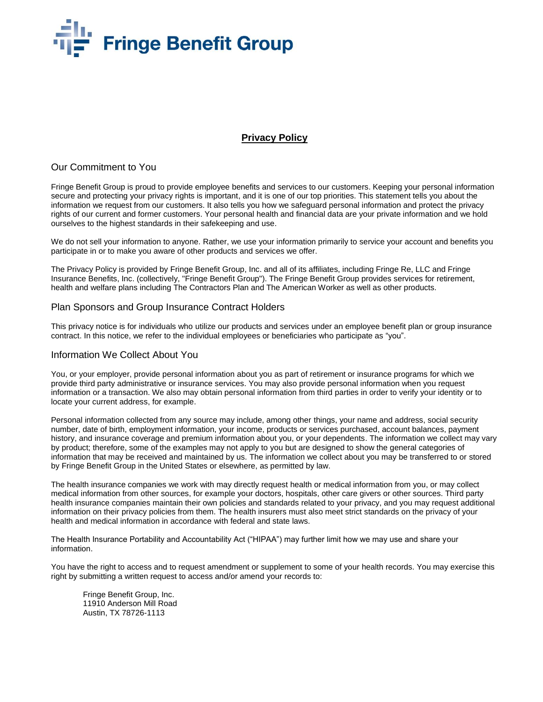

# **Privacy Policy**

## Our Commitment to You

Fringe Benefit Group is proud to provide employee benefits and services to our customers. Keeping your personal information secure and protecting your privacy rights is important, and it is one of our top priorities. This statement tells you about the information we request from our customers. It also tells you how we safeguard personal information and protect the privacy rights of our current and former customers. Your personal health and financial data are your private information and we hold ourselves to the highest standards in their safekeeping and use.

We do not sell your information to anyone. Rather, we use your information primarily to service your account and benefits you participate in or to make you aware of other products and services we offer.

The Privacy Policy is provided by Fringe Benefit Group, Inc. and all of its affiliates, including Fringe Re, LLC and Fringe Insurance Benefits, Inc. (collectively, "Fringe Benefit Group"). The Fringe Benefit Group provides services for retirement, health and welfare plans including The Contractors Plan and The American Worker as well as other products.

### Plan Sponsors and Group Insurance Contract Holders

This privacy notice is for individuals who utilize our products and services under an employee benefit plan or group insurance contract. In this notice, we refer to the individual employees or beneficiaries who participate as "you".

#### Information We Collect About You

You, or your employer, provide personal information about you as part of retirement or insurance programs for which we provide third party administrative or insurance services. You may also provide personal information when you request information or a transaction. We also may obtain personal information from third parties in order to verify your identity or to locate your current address, for example.

Personal information collected from any source may include, among other things, your name and address, social security number, date of birth, employment information, your income, products or services purchased, account balances, payment history, and insurance coverage and premium information about you, or your dependents. The information we collect may vary by product; therefore, some of the examples may not apply to you but are designed to show the general categories of information that may be received and maintained by us. The information we collect about you may be transferred to or stored by Fringe Benefit Group in the United States or elsewhere, as permitted by law.

The health insurance companies we work with may directly request health or medical information from you, or may collect medical information from other sources, for example your doctors, hospitals, other care givers or other sources. Third party health insurance companies maintain their own policies and standards related to your privacy, and you may request additional information on their privacy policies from them. The health insurers must also meet strict standards on the privacy of your health and medical information in accordance with federal and state laws.

The Health Insurance Portability and Accountability Act ("HIPAA") may further limit how we may use and share your information.

You have the right to access and to request amendment or supplement to some of your health records. You may exercise this right by submitting a written request to access and/or amend your records to:

Fringe Benefit Group, Inc. 11910 Anderson Mill Road Austin, TX 78726-1113